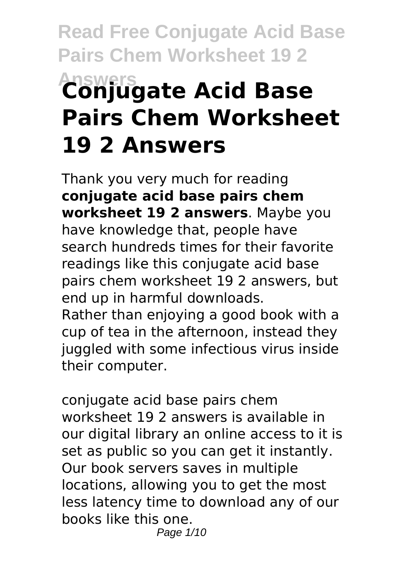# **Read Free Conjugate Acid Base Pairs Chem Worksheet 19 2 Answers Conjugate Acid Base Pairs Chem Worksheet 19 2 Answers**

Thank you very much for reading **conjugate acid base pairs chem worksheet 19 2 answers**. Maybe you have knowledge that, people have search hundreds times for their favorite readings like this conjugate acid base pairs chem worksheet 19 2 answers, but end up in harmful downloads.

Rather than enjoying a good book with a cup of tea in the afternoon, instead they juggled with some infectious virus inside their computer.

conjugate acid base pairs chem worksheet 19 2 answers is available in our digital library an online access to it is set as public so you can get it instantly. Our book servers saves in multiple locations, allowing you to get the most less latency time to download any of our books like this one. Page 1/10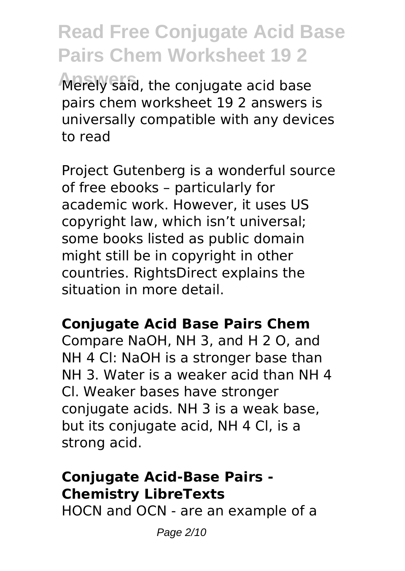**Read Free Conjugate Acid Base Pairs Chem Worksheet 19 2 Answers** Merely said, the conjugate acid base pairs chem worksheet 19 2 answers is universally compatible with any devices to read

Project Gutenberg is a wonderful source of free ebooks – particularly for academic work. However, it uses US copyright law, which isn't universal; some books listed as public domain might still be in copyright in other countries. RightsDirect explains the situation in more detail.

### **Conjugate Acid Base Pairs Chem**

Compare NaOH, NH 3, and H 2 O, and NH 4 Cl: NaOH is a stronger base than NH 3. Water is a weaker acid than NH 4 Cl. Weaker bases have stronger conjugate acids. NH 3 is a weak base, but its conjugate acid, NH 4 Cl, is a strong acid.

### **Conjugate Acid-Base Pairs - Chemistry LibreTexts**

HOCN and OCN - are an example of a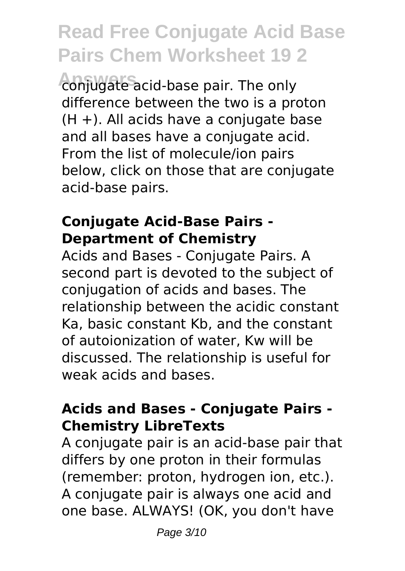**Answers** conjugate acid-base pair. The only difference between the two is a proton  $(H +)$ . All acids have a conjugate base and all bases have a conjugate acid. From the list of molecule/ion pairs below, click on those that are conjugate acid-base pairs.

### **Conjugate Acid-Base Pairs - Department of Chemistry**

Acids and Bases - Conjugate Pairs. A second part is devoted to the subject of conjugation of acids and bases. The relationship between the acidic constant Ka, basic constant Kb, and the constant of autoionization of water, Kw will be discussed. The relationship is useful for weak acids and bases.

### **Acids and Bases - Conjugate Pairs - Chemistry LibreTexts**

A conjugate pair is an acid-base pair that differs by one proton in their formulas (remember: proton, hydrogen ion, etc.). A conjugate pair is always one acid and one base. ALWAYS! (OK, you don't have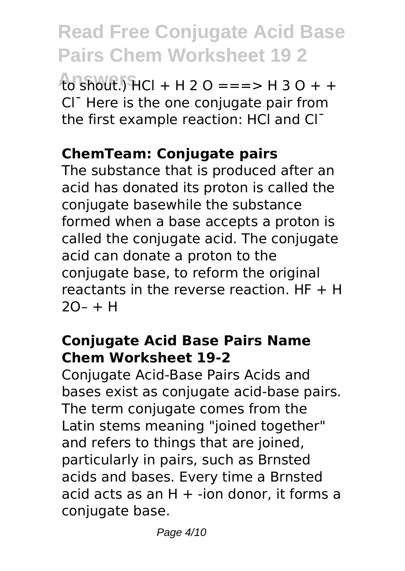**Answers** to shout.) HCl + H 2 O ===> H 3 O + + Cl¯ Here is the one conjugate pair from the first example reaction: HCl and Cl-

### **ChemTeam: Conjugate pairs**

The substance that is produced after an acid has donated its proton is called the conjugate basewhile the substance formed when a base accepts a proton is called the conjugate acid. The conjugate acid can donate a proton to the conjugate base, to reform the original reactants in the reverse reaction.  $HF + H$  $2O - + H$ 

### **Conjugate Acid Base Pairs Name Chem Worksheet 19-2**

Conjugate Acid-Base Pairs Acids and bases exist as conjugate acid-base pairs. The term conjugate comes from the Latin stems meaning "joined together" and refers to things that are joined, particularly in pairs, such as Brnsted acids and bases. Every time a Brnsted acid acts as an  $H + -i$ on donor, it forms a conjugate base.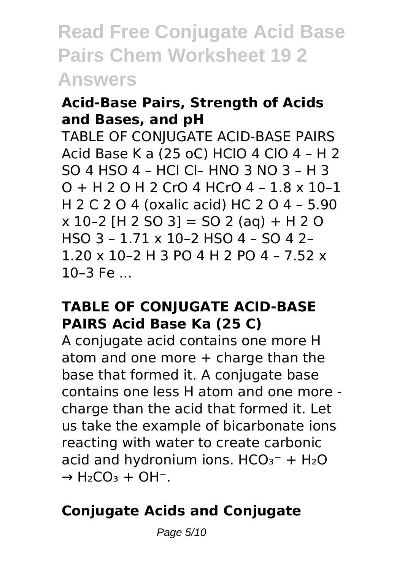### **Acid-Base Pairs, Strength of Acids and Bases, and pH**

TABLE OF CONJUGATE ACID-BASE PAIRS Acid Base K a (25 oC) HClO 4 ClO 4 – H 2 SO 4 HSO 4 – HCl Cl– HNO 3 NO 3 – H 3 O + H 2 O H 2 CrO 4 HCrO 4 – 1.8 x 10–1 H 2 C 2 O 4 (oxalic acid) HC 2 O 4 – 5.90  $x 10-2$  [H 2 SO 3] = SO 2 (ag) + H 2 O HSO 3 – 1.71 x 10–2 HSO 4 – SO 4 2– 1.20 x 10–2 H 3 PO 4 H 2 PO 4 – 7.52 x  $10-3$  Fe  $\ldots$ 

#### **TABLE OF CONJUGATE ACID-BASE PAIRS Acid Base Ka (25 C)**

A conjugate acid contains one more H atom and one more + charge than the base that formed it. A conjugate base contains one less H atom and one more charge than the acid that formed it. Let us take the example of bicarbonate ions reacting with water to create carbonic acid and hydronium ions.  $HCO<sub>3</sub><sup>-</sup> + H<sub>2</sub>O$  $\rightarrow$  H<sub>2</sub>CO<sub>3</sub> + OH<sup>-</sup>.

### **Conjugate Acids and Conjugate**

Page 5/10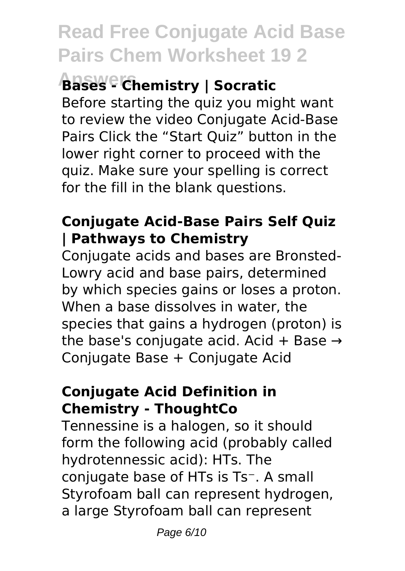### **Answers Bases - Chemistry | Socratic**

Before starting the quiz you might want to review the video Conjugate Acid-Base Pairs Click the "Start Quiz" button in the lower right corner to proceed with the quiz. Make sure your spelling is correct for the fill in the blank questions.

### **Conjugate Acid-Base Pairs Self Quiz | Pathways to Chemistry**

Conjugate acids and bases are Bronsted-Lowry acid and base pairs, determined by which species gains or loses a proton. When a base dissolves in water, the species that gains a hydrogen (proton) is the base's conjugate acid. Acid + Base  $\rightarrow$ Conjugate Base + Conjugate Acid

### **Conjugate Acid Definition in Chemistry - ThoughtCo**

Tennessine is a halogen, so it should form the following acid (probably called hydrotennessic acid): HTs. The conjugate base of HTs is Ts<sup>-</sup>. A small Styrofoam ball can represent hydrogen, a large Styrofoam ball can represent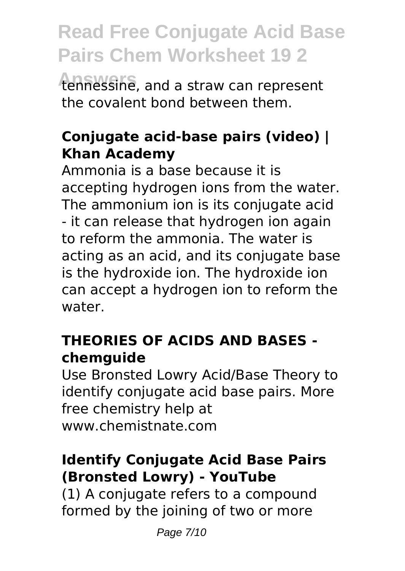**Answers** tennessine, and a straw can represent the covalent bond between them.

### **Conjugate acid-base pairs (video) | Khan Academy**

Ammonia is a base because it is accepting hydrogen ions from the water. The ammonium ion is its conjugate acid - it can release that hydrogen ion again to reform the ammonia. The water is acting as an acid, and its conjugate base is the hydroxide ion. The hydroxide ion can accept a hydrogen ion to reform the water.

### **THEORIES OF ACIDS AND BASES chemguide**

Use Bronsted Lowry Acid/Base Theory to identify conjugate acid base pairs. More free chemistry help at www.chemistnate.com

### **Identify Conjugate Acid Base Pairs (Bronsted Lowry) - YouTube**

(1) A conjugate refers to a compound formed by the joining of two or more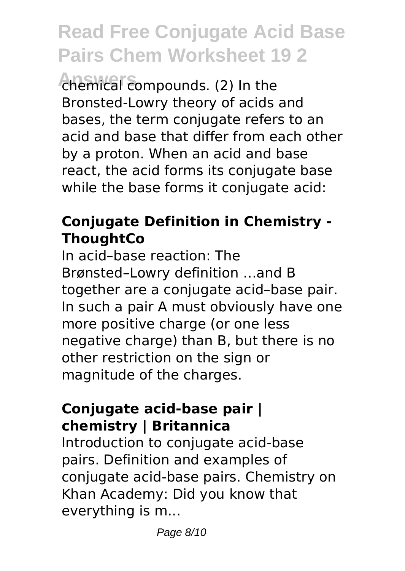**Answers** chemical compounds. (2) In the Bronsted-Lowry theory of acids and bases, the term conjugate refers to an acid and base that differ from each other by a proton. When an acid and base react, the acid forms its conjugate base while the base forms it conjugate acid:

### **Conjugate Definition in Chemistry - ThoughtCo**

In acid–base reaction: The Brønsted–Lowry definition …and B together are a conjugate acid–base pair. In such a pair A must obviously have one more positive charge (or one less negative charge) than B, but there is no other restriction on the sign or magnitude of the charges.

### **Conjugate acid-base pair | chemistry | Britannica**

Introduction to conjugate acid-base pairs. Definition and examples of conjugate acid-base pairs. Chemistry on Khan Academy: Did you know that everything is m...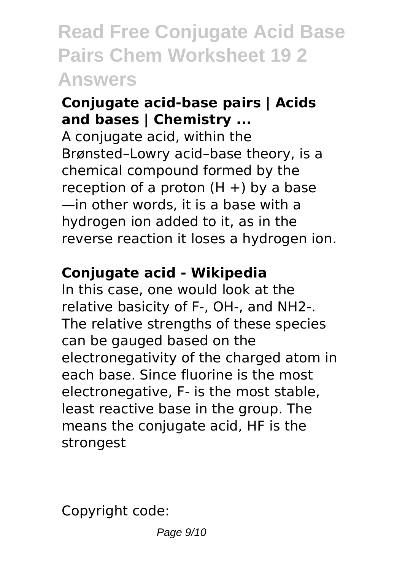### **Conjugate acid-base pairs | Acids and bases | Chemistry ...**

A conjugate acid, within the Brønsted–Lowry acid–base theory, is a chemical compound formed by the reception of a proton  $(H +)$  by a base —in other words, it is a base with a hydrogen ion added to it, as in the reverse reaction it loses a hydrogen ion.

### **Conjugate acid - Wikipedia**

In this case, one would look at the relative basicity of F-, OH-, and NH2-. The relative strengths of these species can be gauged based on the electronegativity of the charged atom in each base. Since fluorine is the most electronegative, F- is the most stable, least reactive base in the group. The means the conjugate acid, HF is the strongest

Copyright code: